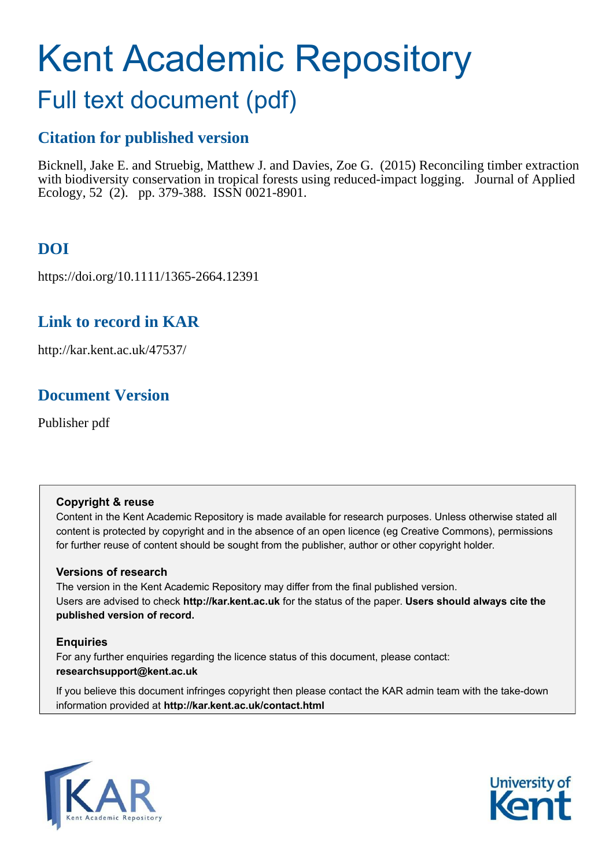# Kent Academic Repository

# Full text document (pdf)

# **Citation for published version**

Bicknell, Jake E. and Struebig, Matthew J. and Davies, Zoe G. (2015) Reconciling timber extraction with biodiversity conservation in tropical forests using reduced-impact logging. Journal of Applied Ecology, 52 (2). pp. 379-388. ISSN 0021-8901.

# **DOI**

https://doi.org/10.1111/1365-2664.12391

# **Link to record in KAR**

http://kar.kent.ac.uk/47537/

# **Document Version**

Publisher pdf

#### **Copyright & reuse**

Content in the Kent Academic Repository is made available for research purposes. Unless otherwise stated all content is protected by copyright and in the absence of an open licence (eg Creative Commons), permissions for further reuse of content should be sought from the publisher, author or other copyright holder.

#### **Versions of research**

The version in the Kent Academic Repository may differ from the final published version. Users are advised to check **http://kar.kent.ac.uk** for the status of the paper. **Users should always cite the published version of record.**

#### **Enquiries**

For any further enquiries regarding the licence status of this document, please contact: **researchsupport@kent.ac.uk**

If you believe this document infringes copyright then please contact the KAR admin team with the take-down information provided at **http://kar.kent.ac.uk/contact.html**



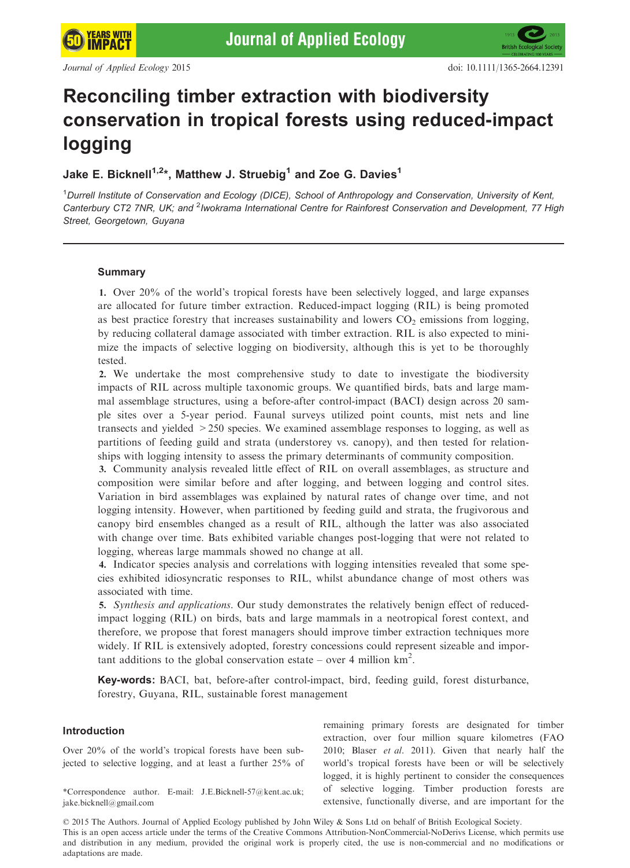**YEARS WITH** 

**IMPACT** 

# Reconciling timber extraction with biodiversity conservation in tropical forests using reduced-impact logging

#### Jake E. Bicknell $^{1,2\ast}$ , Matthew J. Struebig $^1$  and Zoe G. Davies $^1$

<sup>1</sup>Durrell Institute of Conservation and Ecology (DICE), School of Anthropology and Conservation, University of Kent, Canterbury CT2 7NR, UK; and <sup>2</sup>Iwokrama International Centre for Rainforest Conservation and Development, 77 High Street, Georgetown, Guyana

#### Summary

1. Over 20% of the world's tropical forests have been selectively logged, and large expanses are allocated for future timber extraction. Reduced-impact logging (RIL) is being promoted as best practice forestry that increases sustainability and lowers  $CO<sub>2</sub>$  emissions from logging, by reducing collateral damage associated with timber extraction. RIL is also expected to minimize the impacts of selective logging on biodiversity, although this is yet to be thoroughly tested.

2. We undertake the most comprehensive study to date to investigate the biodiversity impacts of RIL across multiple taxonomic groups. We quantified birds, bats and large mammal assemblage structures, using a before-after control-impact (BACI) design across 20 sample sites over a 5-year period. Faunal surveys utilized point counts, mist nets and line transects and yielded >250 species. We examined assemblage responses to logging, as well as partitions of feeding guild and strata (understorey vs. canopy), and then tested for relationships with logging intensity to assess the primary determinants of community composition.

3. Community analysis revealed little effect of RIL on overall assemblages, as structure and composition were similar before and after logging, and between logging and control sites. Variation in bird assemblages was explained by natural rates of change over time, and not logging intensity. However, when partitioned by feeding guild and strata, the frugivorous and canopy bird ensembles changed as a result of RIL, although the latter was also associated with change over time. Bats exhibited variable changes post-logging that were not related to logging, whereas large mammals showed no change at all.

4. Indicator species analysis and correlations with logging intensities revealed that some species exhibited idiosyncratic responses to RIL, whilst abundance change of most others was associated with time.

5. *Synthesis and applications.* Our study demonstrates the relatively benign effect of reducedimpact logging (RIL) on birds, bats and large mammals in a neotropical forest context, and therefore, we propose that forest managers should improve timber extraction techniques more widely. If RIL is extensively adopted, forestry concessions could represent sizeable and important additions to the global conservation estate – over 4 million  $km^2$ .

Key-words: BACI, bat, before-after control-impact, bird, feeding guild, forest disturbance, forestry, Guyana, RIL, sustainable forest management

#### Introduction

Over 20% of the world's tropical forests have been subjected to selective logging, and at least a further 25% of

\*Correspondence author. E-mail: J.E.Bicknell-57@kent.ac.uk; jake.bicknell@gmail.com

remaining primary forests are designated for timber extraction, over four million square kilometres (FAO 2010; Blaser *et al.* 2011). Given that nearly half the world's tropical forests have been or will be selectively logged, it is highly pertinent to consider the consequences of selective logging. Timber production forests are extensive, functionally diverse, and are important for the

© 2015 The Authors. Journal of Applied Ecology published by John Wiley & Sons Ltd on behalf of British Ecological Society. This is an open access article under the terms of the [Creative Commons Attribution-NonCommercial-NoDerivs](http://dx.doi.org/10.5061/dryad.36vq2) License, which permits use and distribution in any medium, provided the original work is properly cited, the use is non-commercial and no modifications or adaptations are made.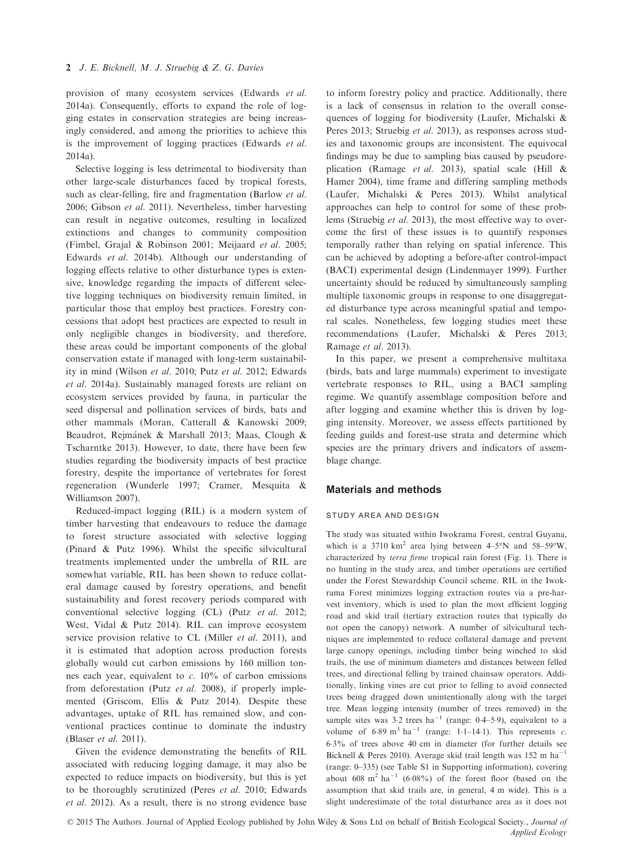provision of many ecosystem services (Edwards *et al.* 2014a). Consequently, efforts to expand the role of logging estates in conservation strategies are being increasingly considered, and among the priorities to achieve this is the improvement of logging practices (Edwards *et al.* 2014a).

Selective logging is less detrimental to biodiversity than other large-scale disturbances faced by tropical forests, such as clear-felling, fire and fragmentation (Barlow *et al.* 2006; Gibson *et al.* 2011). Nevertheless, timber harvesting can result in negative outcomes, resulting in localized extinctions and changes to community composition (Fimbel, Grajal & Robinson 2001; Meijaard *et al.* 2005; Edwards *et al.* 2014b). Although our understanding of logging effects relative to other disturbance types is extensive, knowledge regarding the impacts of different selective logging techniques on biodiversity remain limited, in particular those that employ best practices. Forestry concessions that adopt best practices are expected to result in only negligible changes in biodiversity, and therefore, these areas could be important components of the global conservation estate if managed with long-term sustainability in mind (Wilson *et al.* 2010; Putz *et al.* 2012; Edwards *et al.* 2014a). Sustainably managed forests are reliant on ecosystem services provided by fauna, in particular the seed dispersal and pollination services of birds, bats and other mammals (Moran, Catterall & Kanowski 2009; Beaudrot, Rejmánek & Marshall 2013; Maas, Clough & Tscharntke 2013). However, to date, there have been few studies regarding the biodiversity impacts of best practice forestry, despite the importance of vertebrates for forest regeneration (Wunderle 1997; Cramer, Mesquita & Williamson 2007).

Reduced-impact logging (RIL) is a modern system of timber harvesting that endeavours to reduce the damage to forest structure associated with selective logging (Pinard & Putz 1996). Whilst the specific silvicultural treatments implemented under the umbrella of RIL are somewhat variable, RIL has been shown to reduce collateral damage caused by forestry operations, and benefit sustainability and forest recovery periods compared with conventional selective logging (CL) (Putz *et al.* 2012; West, Vidal & Putz 2014). RIL can improve ecosystem service provision relative to CL (Miller *et al.* 2011), and it is estimated that adoption across production forests globally would cut carbon emissions by 160 million tonnes each year, equivalent to *c.* 10% of carbon emissions from deforestation (Putz *et al.* 2008), if properly implemented (Griscom, Ellis & Putz 2014). Despite these advantages, uptake of RIL has remained slow, and conventional practices continue to dominate the industry (Blaser *et al.* 2011).

Given the evidence demonstrating the benefits of RIL associated with reducing logging damage, it may also be expected to reduce impacts on biodiversity, but this is yet to be thoroughly scrutinized (Peres *et al.* 2010; Edwards *et al.* 2012). As a result, there is no strong evidence base to inform forestry policy and practice. Additionally, there is a lack of consensus in relation to the overall consequences of logging for biodiversity (Laufer, Michalski & Peres 2013; Struebig *et al.* 2013), as responses across studies and taxonomic groups are inconsistent. The equivocal findings may be due to sampling bias caused by pseudoreplication (Ramage *et al.* 2013), spatial scale (Hill & Hamer 2004), time frame and differing sampling methods (Laufer, Michalski & Peres 2013). Whilst analytical approaches can help to control for some of these problems (Struebig *et al.* 2013), the most effective way to overcome the first of these issues is to quantify responses temporally rather than relying on spatial inference. This can be achieved by adopting a before-after control-impact (BACI) experimental design (Lindenmayer 1999). Further uncertainty should be reduced by simultaneously sampling multiple taxonomic groups in response to one disaggregated disturbance type across meaningful spatial and temporal scales. Nonetheless, few logging studies meet these recommendations (Laufer, Michalski & Peres 2013; Ramage *et al.* 2013).

In this paper, we present a comprehensive multitaxa (birds, bats and large mammals) experiment to investigate vertebrate responses to RIL, using a BACI sampling regime. We quantify assemblage composition before and after logging and examine whether this is driven by logging intensity. Moreover, we assess effects partitioned by feeding guilds and forest-use strata and determine which species are the primary drivers and indicators of assemblage change.

#### Materials and methods

#### STUDY AREA AND DESIGN

The study was situated within Iwokrama Forest, central Guyana, which is a 3710  $km^2$  area lying between 4-5°N and 58-59°W, characterized by *terra firme* tropical rain forest (Fig. 1). There is no hunting in the study area, and timber operations are certified under the Forest Stewardship Council scheme. RIL in the Iwokrama Forest minimizes logging extraction routes via a pre-harvest inventory, which is used to plan the most efficient logging road and skid trail (tertiary extraction routes that typically do not open the canopy) network. A number of silvicultural techniques are implemented to reduce collateral damage and prevent large canopy openings, including timber being winched to skid trails, the use of minimum diameters and distances between felled trees, and directional felling by trained chainsaw operators. Additionally, linking vines are cut prior to felling to avoid connected trees being dragged down unintentionally along with the target tree. Mean logging intensity (number of trees removed) in the sample sites was  $3.2$  trees ha<sup>-1</sup> (range: 0.4-5.9), equivalent to a volume of  $6.89 \text{ m}^3 \text{ ha}^{-1}$  (range: 1.1–14.1). This represents *c*. 63% of trees above 40 cm in diameter (for further details see Bicknell & Peres 2010). Average skid trail length was 152 m  $ha^{-1}$ (range: 0–335) (see Table S1 in Supporting information), covering about  $608 \text{ m}^2 \text{ ha}^{-1}$   $(6.08\%)$  of the forest floor (based on the assumption that skid trails are, in general, 4 m wide). This is a slight underestimate of the total disturbance area as it does not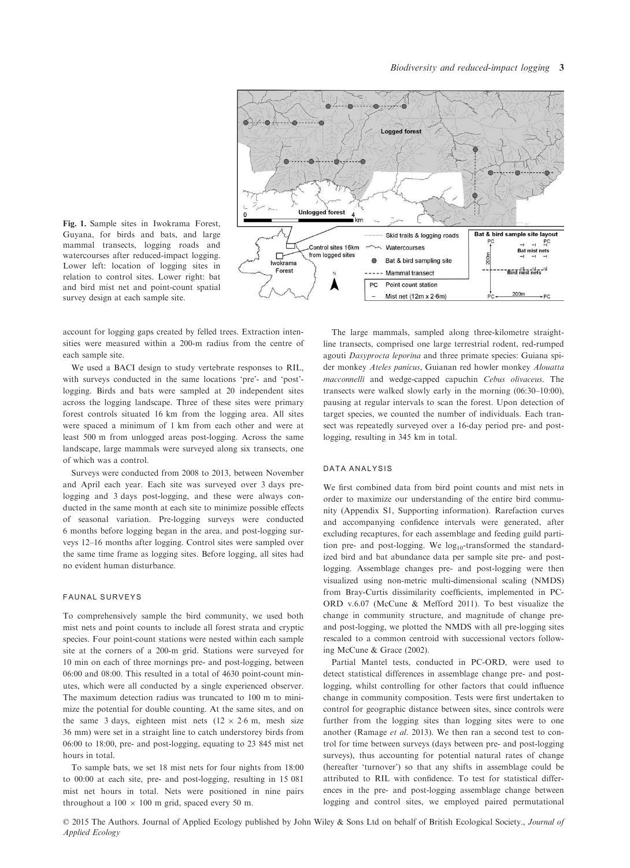Fig. 1. Sample sites in Iwokrama Forest, Guyana, for birds and bats, and large mammal transects, logging roads and watercourses after reduced-impact logging. Lower left: location of logging sites in relation to control sites. Lower right: bat and bird mist net and point-count spatial survey design at each sample site.

account for logging gaps created by felled trees. Extraction intensities were measured within a 200-m radius from the centre of each sample site.

We used a BACI design to study vertebrate responses to RIL, with surveys conducted in the same locations 'pre'- and 'post' logging. Birds and bats were sampled at 20 independent sites across the logging landscape. Three of these sites were primary forest controls situated 16 km from the logging area. All sites were spaced a minimum of 1 km from each other and were at least 500 m from unlogged areas post-logging. Across the same landscape, large mammals were surveyed along six transects, one of which was a control.

Surveys were conducted from 2008 to 2013, between November and April each year. Each site was surveyed over 3 days prelogging and 3 days post-logging, and these were always conducted in the same month at each site to minimize possible effects of seasonal variation. Pre-logging surveys were conducted 6 months before logging began in the area, and post-logging surveys 12–16 months after logging. Control sites were sampled over the same time frame as logging sites. Before logging, all sites had no evident human disturbance.

#### FAUNAL SURVEYS

To comprehensively sample the bird community, we used both mist nets and point counts to include all forest strata and cryptic species. Four point-count stations were nested within each sample site at the corners of a 200-m grid. Stations were surveyed for 10 min on each of three mornings pre- and post-logging, between 06:00 and 08:00. This resulted in a total of 4630 point-count minutes, which were all conducted by a single experienced observer. The maximum detection radius was truncated to 100 m to minimize the potential for double counting. At the same sites, and on the same 3 days, eighteen mist nets  $(12 \times 2.6 \text{ m}, \text{mesh size})$ 36 mm) were set in a straight line to catch understorey birds from 06:00 to 18:00, pre- and post-logging, equating to 23 845 mist net hours in total.

To sample bats, we set 18 mist nets for four nights from 18:00 to 00:00 at each site, pre- and post-logging, resulting in 15 081 mist net hours in total. Nets were positioned in nine pairs throughout a  $100 \times 100$  m grid, spaced every 50 m.

The large mammals, sampled along three-kilometre straightline transects, comprised one large terrestrial rodent, red-rumped agouti *Dasyprocta leporina* and three primate species: Guiana spider monkey *Ateles panicus*, Guianan red howler monkey *Alouatta macconnelli* and wedge-capped capuchin *Cebus olivaceus*. The transects were walked slowly early in the morning (06:30–10:00), pausing at regular intervals to scan the forest. Upon detection of target species, we counted the number of individuals. Each transect was repeatedly surveyed over a 16-day period pre- and postlogging, resulting in 345 km in total.

#### DATA ANALYSIS

We first combined data from bird point counts and mist nets in order to maximize our understanding of the entire bird community (Appendix S1, Supporting information). Rarefaction curves and accompanying confidence intervals were generated, after excluding recaptures, for each assemblage and feeding guild partition pre- and post-logging. We log<sub>10</sub>-transformed the standardized bird and bat abundance data per sample site pre- and postlogging. Assemblage changes pre- and post-logging were then visualized using non-metric multi-dimensional scaling (NMDS) from Bray-Curtis dissimilarity coefficients, implemented in PC-ORD v.6.07 (McCune & Mefford 2011). To best visualize the change in community structure, and magnitude of change preand post-logging, we plotted the NMDS with all pre-logging sites rescaled to a common centroid with successional vectors following McCune & Grace (2002).

Partial Mantel tests, conducted in PC-ORD, were used to detect statistical differences in assemblage change pre- and postlogging, whilst controlling for other factors that could influence change in community composition. Tests were first undertaken to control for geographic distance between sites, since controls were further from the logging sites than logging sites were to one another (Ramage *et al.* 2013). We then ran a second test to control for time between surveys (days between pre- and post-logging surveys), thus accounting for potential natural rates of change (hereafter 'turnover') so that any shifts in assemblage could be attributed to RIL with confidence. To test for statistical differences in the pre- and post-logging assemblage change between logging and control sites, we employed paired permutational

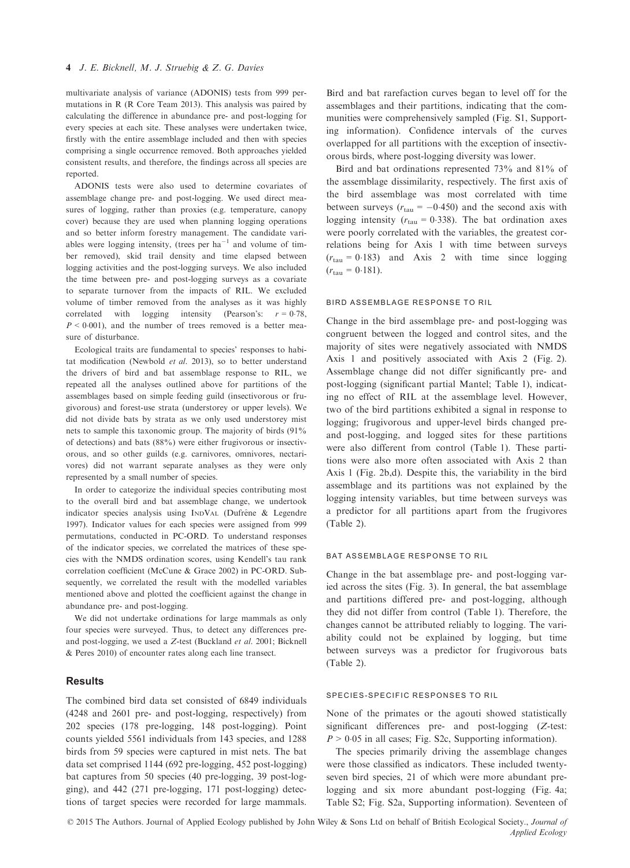multivariate analysis of variance (ADONIS) tests from 999 permutations in R (R Core Team 2013). This analysis was paired by calculating the difference in abundance pre- and post-logging for every species at each site. These analyses were undertaken twice, firstly with the entire assemblage included and then with species comprising a single occurrence removed. Both approaches yielded consistent results, and therefore, the findings across all species are reported.

ADONIS tests were also used to determine covariates of assemblage change pre- and post-logging. We used direct measures of logging, rather than proxies (e.g. temperature, canopy cover) because they are used when planning logging operations and so better inform forestry management. The candidate variables were logging intensity, (trees per  $ha^{-1}$  and volume of timber removed), skid trail density and time elapsed between logging activities and the post-logging surveys. We also included the time between pre- and post-logging surveys as a covariate to separate turnover from the impacts of RIL. We excluded volume of timber removed from the analyses as it was highly correlated with logging intensity (Pearson's:  $r = 0.78$ ,  $P < 0.001$ ), and the number of trees removed is a better measure of disturbance.

Ecological traits are fundamental to species' responses to habitat modification (Newbold *et al.* 2013), so to better understand the drivers of bird and bat assemblage response to RIL, we repeated all the analyses outlined above for partitions of the assemblages based on simple feeding guild (insectivorous or frugivorous) and forest-use strata (understorey or upper levels). We did not divide bats by strata as we only used understorey mist nets to sample this taxonomic group. The majority of birds (91% of detections) and bats (88%) were either frugivorous or insectivorous, and so other guilds (e.g. carnivores, omnivores, nectarivores) did not warrant separate analyses as they were only represented by a small number of species.

In order to categorize the individual species contributing most to the overall bird and bat assemblage change, we undertook indicator species analysis using INDVAL (Dufrêne & Legendre 1997). Indicator values for each species were assigned from 999 permutations, conducted in PC-ORD. To understand responses of the indicator species, we correlated the matrices of these species with the NMDS ordination scores, using Kendell's tau rank correlation coefficient (McCune & Grace 2002) in PC-ORD. Subsequently, we correlated the result with the modelled variables mentioned above and plotted the coefficient against the change in abundance pre- and post-logging.

We did not undertake ordinations for large mammals as only four species were surveyed. Thus, to detect any differences preand post-logging, we used a *Z*-test (Buckland *et al.* 2001; Bicknell & Peres 2010) of encounter rates along each line transect.

#### Results

The combined bird data set consisted of 6849 individuals (4248 and 2601 pre- and post-logging, respectively) from 202 species (178 pre-logging, 148 post-logging). Point counts yielded 5561 individuals from 143 species, and 1288 birds from 59 species were captured in mist nets. The bat data set comprised 1144 (692 pre-logging, 452 post-logging) bat captures from 50 species (40 pre-logging, 39 post-logging), and 442 (271 pre-logging, 171 post-logging) detections of target species were recorded for large mammals.

Bird and bat rarefaction curves began to level off for the assemblages and their partitions, indicating that the communities were comprehensively sampled (Fig. S1, Supporting information). Confidence intervals of the curves overlapped for all partitions with the exception of insectivorous birds, where post-logging diversity was lower.

Bird and bat ordinations represented 73% and 81% of the assemblage dissimilarity, respectively. The first axis of the bird assemblage was most correlated with time between surveys ( $r_{\text{tau}} = -0.450$ ) and the second axis with logging intensity ( $r_{\text{tau}} = 0.338$ ). The bat ordination axes were poorly correlated with the variables, the greatest correlations being for Axis 1 with time between surveys  $(r<sub>tau</sub> = 0.183)$  and Axis 2 with time since logging  $(r_{\text{tau}} = 0.181)$ .

#### BIRD ASSEMBLAGE RESPONSE TO RIL

Change in the bird assemblage pre- and post-logging was congruent between the logged and control sites, and the majority of sites were negatively associated with NMDS Axis 1 and positively associated with Axis 2 (Fig. 2). Assemblage change did not differ significantly pre- and post-logging (significant partial Mantel; Table 1), indicating no effect of RIL at the assemblage level. However, two of the bird partitions exhibited a signal in response to logging; frugivorous and upper-level birds changed preand post-logging, and logged sites for these partitions were also different from control (Table 1). These partitions were also more often associated with Axis 2 than Axis 1 (Fig. 2b,d). Despite this, the variability in the bird assemblage and its partitions was not explained by the logging intensity variables, but time between surveys was a predictor for all partitions apart from the frugivores (Table 2).

#### BAT ASSEMBLAGE RESPONSE TO RIL

Change in the bat assemblage pre- and post-logging varied across the sites (Fig. 3). In general, the bat assemblage and partitions differed pre- and post-logging, although they did not differ from control (Table 1). Therefore, the changes cannot be attributed reliably to logging. The variability could not be explained by logging, but time between surveys was a predictor for frugivorous bats (Table 2).

#### SPECIES-SPECIFIC RESPONSES TO RIL

None of the primates or the agouti showed statistically significant differences pre- and post-logging (*Z*-test:  $P > 0.05$  in all cases; Fig. S2c, Supporting information).

The species primarily driving the assemblage changes were those classified as indicators. These included twentyseven bird species, 21 of which were more abundant prelogging and six more abundant post-logging (Fig. 4a; Table S2; Fig. S2a, Supporting information). Seventeen of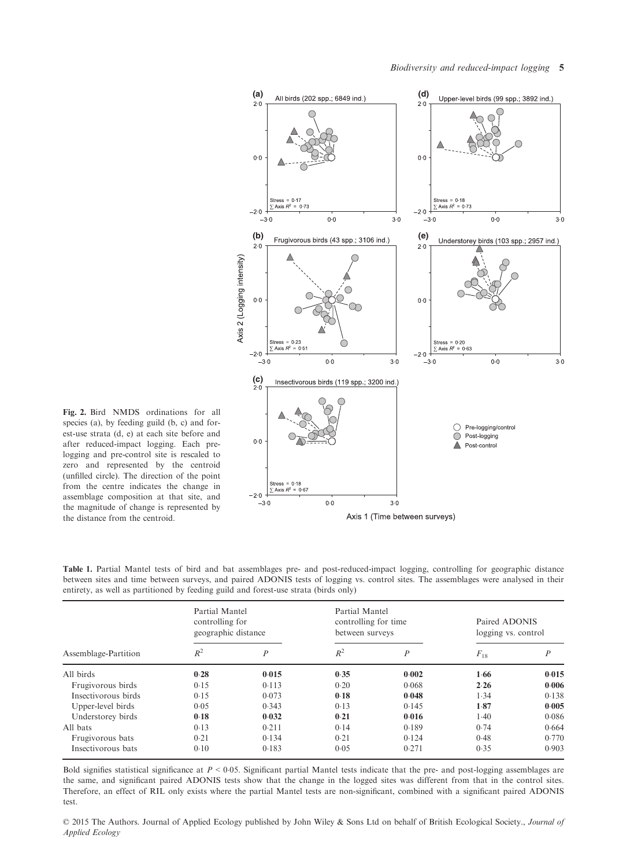

Fig. 2. Bird NMDS ordinations for all species (a), by feeding guild (b, c) and forest-use strata (d, e) at each site before and after reduced-impact logging. Each prelogging and pre-control site is rescaled to zero and represented by the centroid (unfilled circle). The direction of the point from the centre indicates the change in assemblage composition at that site, and the magnitude of change is represented by the distance from the centroid.

Table 1. Partial Mantel tests of bird and bat assemblages pre- and post-reduced-impact logging, controlling for geographic distance between sites and time between surveys, and paired ADONIS tests of logging vs. control sites. The assemblages were analysed in their entirety, as well as partitioned by feeding guild and forest-use strata (birds only)

| Assemblage-Partition | Partial Mantel<br>controlling for<br>geographic distance |                  | Partial Mantel<br>controlling for time<br>between surveys |                  | Paired ADONIS<br>logging vs. control |       |
|----------------------|----------------------------------------------------------|------------------|-----------------------------------------------------------|------------------|--------------------------------------|-------|
|                      | $R^2$                                                    | $\boldsymbol{P}$ | $R^2$                                                     | $\boldsymbol{P}$ | $F_{18}$                             | Ρ     |
| All birds            | 0.28                                                     | 0.015            | 0.35                                                      | 0.002            | 1.66                                 | 0.015 |
| Frugivorous birds    | 0.15                                                     | 0.113            | 0.20                                                      | 0.068            | 2.26                                 | 0.006 |
| Insectivorous birds  | 0.15                                                     | 0.073            | 0.18                                                      | 0.048            | 1.34                                 | 0.138 |
| Upper-level birds    | 0.05                                                     | 0.343            | 0.13                                                      | 0.145            | 1.87                                 | 0.005 |
| Understorey birds    | 0.18                                                     | 0.032            | 0.21                                                      | 0.016            | 1.40                                 | 0.086 |
| All bats             | 0.13                                                     | 0.211            | 0.14                                                      | 0.189            | 0.74                                 | 0.664 |
| Frugivorous bats     | 0.21                                                     | 0.134            | 0.21                                                      | 0.124            | 0.48                                 | 0.770 |
| Insectivorous bats   | 0.10                                                     | 0.183            | 0.05                                                      | 0.271            | 0.35                                 | 0.903 |

Bold signifies statistical significance at *P* < 005. Significant partial Mantel tests indicate that the pre- and post-logging assemblages are the same, and significant paired ADONIS tests show that the change in the logged sites was different from that in the control sites. Therefore, an effect of RIL only exists where the partial Mantel tests are non-significant, combined with a significant paired ADONIS test.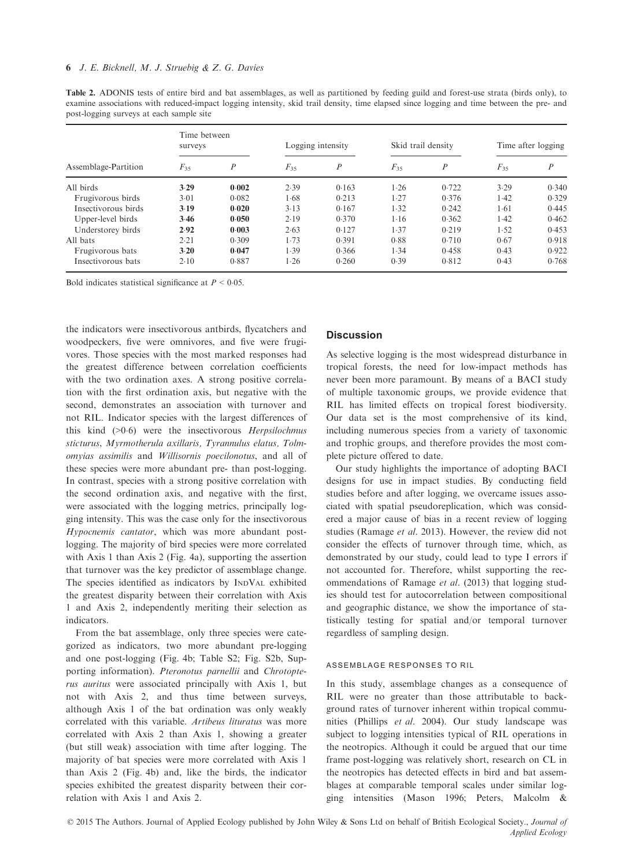| Assemblage-Partition | Time between<br>surveys |                  | Logging intensity |                  | Skid trail density |                  | Time after logging |                  |
|----------------------|-------------------------|------------------|-------------------|------------------|--------------------|------------------|--------------------|------------------|
|                      | $F_{35}$                | $\boldsymbol{P}$ | $F_{35}$          | $\boldsymbol{P}$ | $F_{35}$           | $\boldsymbol{P}$ | $F_{35}$           | $\boldsymbol{P}$ |
| All birds            | 3.29                    | 0.002            | 2.39              | 0.163            | 1.26               | 0.722            | 3.29               | 0.340            |
| Frugivorous birds    | 3.01                    | 0.082            | 1.68              | 0.213            | 1.27               | 0.376            | 1.42               | 0.329            |
| Insectivorous birds  | 3.19                    | 0.020            | 3.13              | 0.167            | 1.32               | 0.242            | 1.61               | 0.445            |
| Upper-level birds    | 3.46                    | 0.050            | 2.19              | 0.370            | 1.16               | 0.362            | 1.42               | 0.462            |
| Understorey birds    | 2.92                    | 0.003            | 2.63              | 0.127            | 1.37               | 0.219            | 1.52               | 0.453            |
| All bats             | 2.21                    | 0.309            | 1.73              | 0.391            | 0.88               | 0.710            | 0.67               | 0.918            |
| Frugivorous bats     | 3.20                    | 0.047            | 1.39              | 0.366            | 1.34               | 0.458            | 0.43               | 0.922            |
| Insectivorous bats   | 2.10                    | 0.887            | 1.26              | 0.260            | 0.39               | 0.812            | 0.43               | 0.768            |

Table 2. ADONIS tests of entire bird and bat assemblages, as well as partitioned by feeding guild and forest-use strata (birds only), to examine associations with reduced-impact logging intensity, skid trail density, time elapsed since logging and time between the pre- and post-logging surveys at each sample site

Bold indicates statistical significance at  $P < 0.05$ .

the indicators were insectivorous antbirds, flycatchers and woodpeckers, five were omnivores, and five were frugivores. Those species with the most marked responses had the greatest difference between correlation coefficients with the two ordination axes. A strong positive correlation with the first ordination axis, but negative with the second, demonstrates an association with turnover and not RIL. Indicator species with the largest differences of this kind (>06) were the insectivorous *Herpsilochmus sticturus*, *Myrmotherula axillaris, Tyrannulus elatus, Tolmomyias assimilis* and *Willisornis poecilonotus*, and all of these species were more abundant pre- than post-logging. In contrast, species with a strong positive correlation with the second ordination axis, and negative with the first, were associated with the logging metrics, principally logging intensity. This was the case only for the insectivorous *Hypocnemis cantator*, which was more abundant postlogging. The majority of bird species were more correlated with Axis 1 than Axis 2 (Fig. 4a), supporting the assertion that turnover was the key predictor of assemblage change. The species identified as indicators by INDVAL exhibited the greatest disparity between their correlation with Axis 1 and Axis 2, independently meriting their selection as indicators.

From the bat assemblage, only three species were categorized as indicators, two more abundant pre-logging and one post-logging (Fig. 4b; Table S2; Fig. S2b, Supporting information). *Pteronotus parnellii* and *Chrotopterus auritus* were associated principally with Axis 1, but not with Axis 2, and thus time between surveys, although Axis 1 of the bat ordination was only weakly correlated with this variable. *Artibeus lituratus* was more correlated with Axis 2 than Axis 1, showing a greater (but still weak) association with time after logging. The majority of bat species were more correlated with Axis 1 than Axis 2 (Fig. 4b) and, like the birds, the indicator species exhibited the greatest disparity between their correlation with Axis 1 and Axis 2.

#### **Discussion**

As selective logging is the most widespread disturbance in tropical forests, the need for low-impact methods has never been more paramount. By means of a BACI study of multiple taxonomic groups, we provide evidence that RIL has limited effects on tropical forest biodiversity. Our data set is the most comprehensive of its kind, including numerous species from a variety of taxonomic and trophic groups, and therefore provides the most complete picture offered to date.

Our study highlights the importance of adopting BACI designs for use in impact studies. By conducting field studies before and after logging, we overcame issues associated with spatial pseudoreplication, which was considered a major cause of bias in a recent review of logging studies (Ramage *et al.* 2013). However, the review did not consider the effects of turnover through time, which, as demonstrated by our study, could lead to type I errors if not accounted for. Therefore, whilst supporting the recommendations of Ramage *et al.* (2013) that logging studies should test for autocorrelation between compositional and geographic distance, we show the importance of statistically testing for spatial and/or temporal turnover regardless of sampling design.

#### ASSEMBLAGE RESPONSES TO RIL

In this study, assemblage changes as a consequence of RIL were no greater than those attributable to background rates of turnover inherent within tropical communities (Phillips *et al.* 2004). Our study landscape was subject to logging intensities typical of RIL operations in the neotropics. Although it could be argued that our time frame post-logging was relatively short, research on CL in the neotropics has detected effects in bird and bat assemblages at comparable temporal scales under similar logging intensities (Mason 1996; Peters, Malcolm &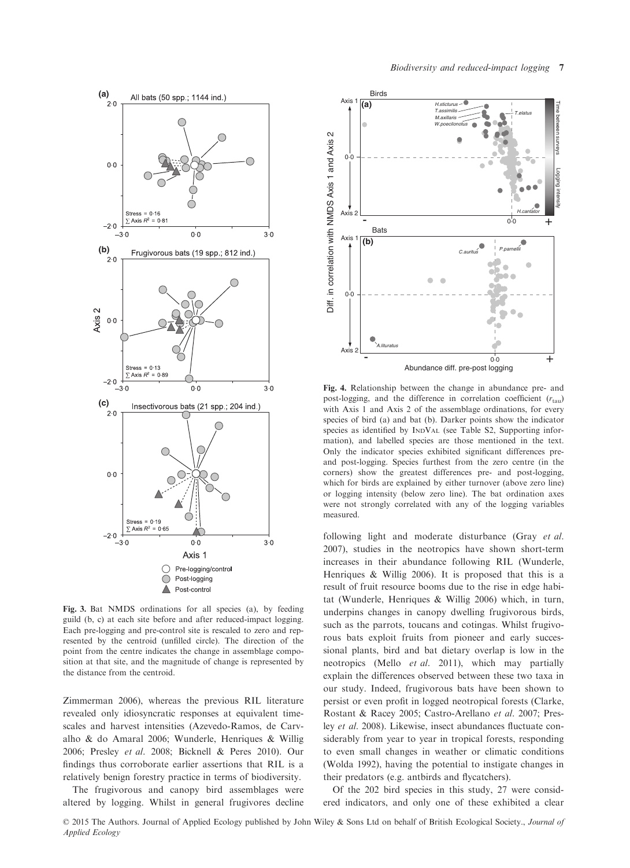

Fig. 3. Bat NMDS ordinations for all species (a), by feeding guild (b, c) at each site before and after reduced-impact logging. Each pre-logging and pre-control site is rescaled to zero and represented by the centroid (unfilled circle). The direction of the point from the centre indicates the change in assemblage composition at that site, and the magnitude of change is represented by the distance from the centroid.

Zimmerman 2006), whereas the previous RIL literature revealed only idiosyncratic responses at equivalent timescales and harvest intensities (Azevedo-Ramos, de Carvalho & do Amaral 2006; Wunderle, Henriques & Willig 2006; Presley *et al.* 2008; Bicknell & Peres 2010). Our findings thus corroborate earlier assertions that RIL is a relatively benign forestry practice in terms of biodiversity.

The frugivorous and canopy bird assemblages were altered by logging. Whilst in general frugivores decline



Fig. 4. Relationship between the change in abundance pre- and post-logging, and the difference in correlation coefficient ( $r_{\text{tau}}$ ) with Axis 1 and Axis 2 of the assemblage ordinations, for every species of bird (a) and bat (b). Darker points show the indicator species as identified by INDVAL (see Table S2, Supporting information), and labelled species are those mentioned in the text. Only the indicator species exhibited significant differences preand post-logging. Species furthest from the zero centre (in the corners) show the greatest differences pre- and post-logging, which for birds are explained by either turnover (above zero line) or logging intensity (below zero line). The bat ordination axes were not strongly correlated with any of the logging variables measured.

following light and moderate disturbance (Gray *et al.* 2007), studies in the neotropics have shown short-term increases in their abundance following RIL (Wunderle, Henriques & Willig 2006). It is proposed that this is a result of fruit resource booms due to the rise in edge habitat (Wunderle, Henriques & Willig 2006) which, in turn, underpins changes in canopy dwelling frugivorous birds, such as the parrots, toucans and cotingas. Whilst frugivorous bats exploit fruits from pioneer and early successional plants, bird and bat dietary overlap is low in the neotropics (Mello *et al.* 2011), which may partially explain the differences observed between these two taxa in our study. Indeed, frugivorous bats have been shown to persist or even profit in logged neotropical forests (Clarke, Rostant & Racey 2005; Castro-Arellano *et al.* 2007; Presley *et al.* 2008). Likewise, insect abundances fluctuate considerably from year to year in tropical forests, responding to even small changes in weather or climatic conditions (Wolda 1992), having the potential to instigate changes in their predators (e.g. antbirds and flycatchers).

Of the 202 bird species in this study, 27 were considered indicators, and only one of these exhibited a clear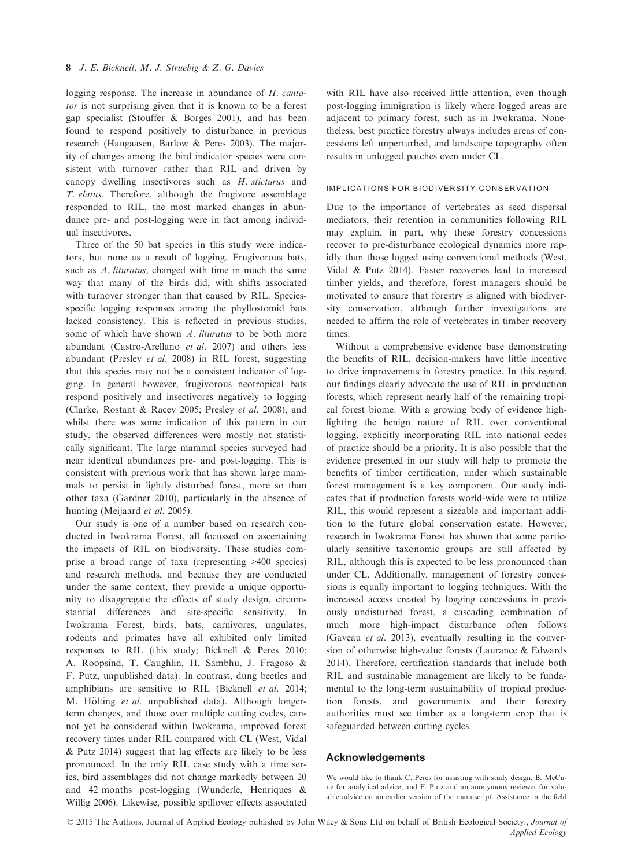logging response. The increase in abundance of *H. cantator* is not surprising given that it is known to be a forest gap specialist (Stouffer & Borges 2001), and has been found to respond positively to disturbance in previous research (Haugaasen, Barlow & Peres 2003). The majority of changes among the bird indicator species were consistent with turnover rather than RIL and driven by canopy dwelling insectivores such as *H. sticturus* and *T. elatus*. Therefore, although the frugivore assemblage responded to RIL, the most marked changes in abundance pre- and post-logging were in fact among individual insectivores.

Three of the 50 bat species in this study were indicators, but none as a result of logging. Frugivorous bats, such as *A. lituratus*, changed with time in much the same way that many of the birds did, with shifts associated with turnover stronger than that caused by RIL. Speciesspecific logging responses among the phyllostomid bats lacked consistency. This is reflected in previous studies, some of which have shown *A. lituratus* to be both more abundant (Castro-Arellano *et al.* 2007) and others less abundant (Presley *et al.* 2008) in RIL forest, suggesting that this species may not be a consistent indicator of logging. In general however, frugivorous neotropical bats respond positively and insectivores negatively to logging (Clarke, Rostant & Racey 2005; Presley *et al.* 2008), and whilst there was some indication of this pattern in our study, the observed differences were mostly not statistically significant. The large mammal species surveyed had near identical abundances pre- and post-logging. This is consistent with previous work that has shown large mammals to persist in lightly disturbed forest, more so than other taxa (Gardner 2010), particularly in the absence of hunting (Meijaard *et al.* 2005).

Our study is one of a number based on research conducted in Iwokrama Forest, all focussed on ascertaining the impacts of RIL on biodiversity. These studies comprise a broad range of taxa (representing >400 species) and research methods, and because they are conducted under the same context, they provide a unique opportunity to disaggregate the effects of study design, circumstantial differences and site-specific sensitivity. In Iwokrama Forest, birds, bats, carnivores, ungulates, rodents and primates have all exhibited only limited responses to RIL (this study; Bicknell & Peres 2010; A. Roopsind, T. Caughlin, H. Sambhu, J. Fragoso & F. Putz, unpublished data). In contrast, dung beetles and amphibians are sensitive to RIL (Bicknell *et al.* 2014; M. Hölting *et al.* unpublished data). Although longerterm changes, and those over multiple cutting cycles, cannot yet be considered within Iwokrama, improved forest recovery times under RIL compared with CL (West, Vidal & Putz 2014) suggest that lag effects are likely to be less pronounced. In the only RIL case study with a time series, bird assemblages did not change markedly between 20 and 42 months post-logging (Wunderle, Henriques & Willig 2006). Likewise, possible spillover effects associated

with RIL have also received little attention, even though post-logging immigration is likely where logged areas are adjacent to primary forest, such as in Iwokrama. Nonetheless, best practice forestry always includes areas of concessions left unperturbed, and landscape topography often results in unlogged patches even under CL.

#### IMPLICATIONS FOR BIODIVERSITY CONSERVATION

Due to the importance of vertebrates as seed dispersal mediators, their retention in communities following RIL may explain, in part, why these forestry concessions recover to pre-disturbance ecological dynamics more rapidly than those logged using conventional methods (West, Vidal & Putz 2014). Faster recoveries lead to increased timber yields, and therefore, forest managers should be motivated to ensure that forestry is aligned with biodiversity conservation, although further investigations are needed to affirm the role of vertebrates in timber recovery times.

Without a comprehensive evidence base demonstrating the benefits of RIL, decision-makers have little incentive to drive improvements in forestry practice. In this regard, our findings clearly advocate the use of RIL in production forests, which represent nearly half of the remaining tropical forest biome. With a growing body of evidence highlighting the benign nature of RIL over conventional logging, explicitly incorporating RIL into national codes of practice should be a priority. It is also possible that the evidence presented in our study will help to promote the benefits of timber certification, under which sustainable forest management is a key component. Our study indicates that if production forests world-wide were to utilize RIL, this would represent a sizeable and important addition to the future global conservation estate. However, research in Iwokrama Forest has shown that some particularly sensitive taxonomic groups are still affected by RIL, although this is expected to be less pronounced than under CL. Additionally, management of forestry concessions is equally important to logging techniques. With the increased access created by logging concessions in previously undisturbed forest, a cascading combination of much more high-impact disturbance often follows (Gaveau *et al.* 2013), eventually resulting in the conversion of otherwise high-value forests (Laurance & Edwards 2014). Therefore, certification standards that include both RIL and sustainable management are likely to be fundamental to the long-term sustainability of tropical production forests, and governments and their forestry authorities must see timber as a long-term crop that is safeguarded between cutting cycles.

#### Acknowledgements

We would like to thank C. Peres for assisting with study design, B. McCune for analytical advice, and F. Putz and an anonymous reviewer for valuable advice on an earlier version of the manuscript. Assistance in the field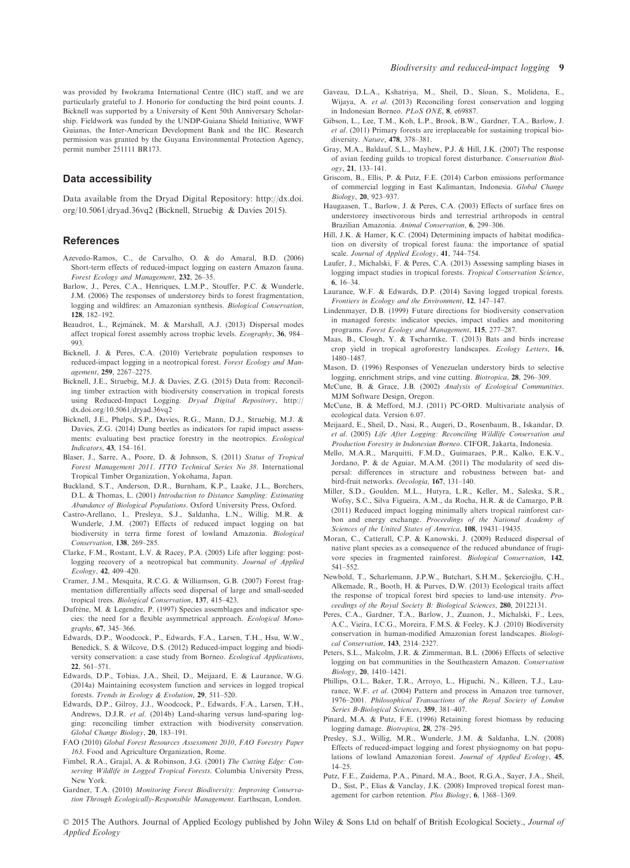was provided by Iwokrama International Centre (IIC) staff, and we are particularly grateful to J. Honorio for conducting the bird point counts. J. Bicknell was supported by a University of Kent 50th Anniversary Scholarship. Fieldwork was funded by the UNDP-Guiana Shield Initiative, WWF Guianas, the Inter-American Development Bank and the IIC. Research permission was granted by the Guyana Environmental Protection Agency, permit number 251111 BR173.

#### Data accessibility

Data available from the Dryad Digital Repository: [http://dx.doi.](http://dx.doi.org/10.5061/dryad.36vq2) [org/10.5061/dryad.36vq2](http://dx.doi.org/10.5061/dryad.36vq2) (Bicknell, Struebig & Davies 2015).

#### References

- Azevedo-Ramos, C., de Carvalho, O. & do Amaral, B.D. (2006) Short-term effects of reduced-impact logging on eastern Amazon fauna. *Forest Ecology and Management*, 232, 26–35.
- Barlow, J., Peres, C.A., Henriques, L.M.P., Stouffer, P.C. & Wunderle, J.M. (2006) The responses of understorey birds to forest fragmentation, logging and wildfires: an Amazonian synthesis. *Biological Conservation*, 128, 182–192.
- Beaudrot, L., Reimánek, M. & Marshall, A.J. (2013) Dispersal modes affect tropical forest assembly across trophic levels. *Ecography*, 36, 984– 993.
- Bicknell, J. & Peres, C.A. (2010) Vertebrate population responses to reduced-impact logging in a neotropical forest. *Forest Ecology and Management*, 259, 2267–2275.
- Bicknell, J.E., Struebig, M.J. & Davies, Z.G. (2015) Data from: Reconciling timber extraction with biodiversity conservation in tropical forests using Reduced-Impact Logging. *Dryad Digital Repository*, [http://](http://dx.doi.org/10.5061/dryad.36vq2) [dx.doi.org/10.5061/dryad.36vq2](http://dx.doi.org/10.5061/dryad.36vq2)
- Bicknell, J.E., Phelps, S.P., Davies, R.G., Mann, D.J., Struebig, M.J. & Davies, Z.G. (2014) Dung beetles as indicators for rapid impact assessments: evaluating best practice forestry in the neotropics. *Ecological Indicators*, 43, 154–161.
- Blaser, J., Sarre, A., Poore, D. & Johnson, S. (2011) *Status of Tropical Forest Management 2011*. *ITTO Technical Series No 38*. International Tropical Timber Organization, Yokohama, Japan.
- Buckland, S.T., Anderson, D.R., Burnham, K.P., Laake, J.L., Borchers, D.L. & Thomas, L. (2001) *Introduction to Distance Sampling: Estimating Abundance of Biological Populations*. Oxford University Press, Oxford.
- Castro-Arellano, I., Presleya, S.J., Saldanha, L.N., Willig, M.R. & Wunderle, J.M. (2007) Effects of reduced impact logging on bat biodiversity in terra firme forest of lowland Amazonia. *Biological Conservation*, 138, 269–285.
- Clarke, F.M., Rostant, L.V. & Racey, P.A. (2005) Life after logging: postlogging recovery of a neotropical bat community. *Journal of Applied Ecology*, 42, 409–420.
- Cramer, J.M., Mesquita, R.C.G. & Williamson, G.B. (2007) Forest fragmentation differentially affects seed dispersal of large and small-seeded tropical trees. *Biological Conservation*, 137, 415–423.
- Dufrêne, M. & Legendre, P. (1997) Species assemblages and indicator species: the need for a flexible asymmetrical approach. *Ecological Monographs*, 67, 345–366.
- Edwards, D.P., Woodcock, P., Edwards, F.A., Larsen, T.H., Hsu, W.W., Benedick, S. & Wilcove, D.S. (2012) Reduced-impact logging and biodiversity conservation: a case study from Borneo. *Ecological Applications*, 22, 561–571.
- Edwards, D.P., Tobias, J.A., Sheil, D., Meijaard, E. & Laurance, W.G. (2014a) Maintaining ecosystem function and services in logged tropical forests. *Trends in Ecology & Evolution*, 29, 511–520.
- Edwards, D.P., Gilroy, J.J., Woodcock, P., Edwards, F.A., Larsen, T.H., Andrews, D.J.R. *et al.* (2014b) Land-sharing versus land-sparing logging: reconciling timber extraction with biodiversity conservation. *Global Change Biology*, 20, 183–191.
- FAO (2010) *Global Forest Resources Assessment 2010*, *FAO Forestry Paper 163*. Food and Agriculture Organization, Rome.
- Fimbel, R.A., Grajal, A. & Robinson, J.G. (2001) *The Cutting Edge: Conserving Wildlife in Logged Tropical Forests*. Columbia University Press, New York.
- Gardner, T.A. (2010) *Monitoring Forest Biodiversity: Improving Conservation Through Ecologically-Responsible Management*. Earthscan, London.
- Gaveau, D.L.A., Kshatriya, M., Sheil, D., Sloan, S., Molidena, E., Wijaya, A. *et al.* (2013) Reconciling forest conservation and logging in Indonesian Borneo. *PLoS ONE*, 8, e69887.
- Gibson, L., Lee, T.M., Koh, L.P., Brook, B.W., Gardner, T.A., Barlow, J. *et al.* (2011) Primary forests are irreplaceable for sustaining tropical biodiversity. *Nature*, 478, 378–381.
- Gray, M.A., Baldauf, S.L., Mayhew, P.J. & Hill, J.K. (2007) The response of avian feeding guilds to tropical forest disturbance. *Conservation Biology*, 21, 133–141.
- Griscom, B., Ellis, P. & Putz, F.E. (2014) Carbon emissions performance of commercial logging in East Kalimantan, Indonesia. *Global Change Biology*, 20, 923–937.
- Haugaasen, T., Barlow, J. & Peres, C.A. (2003) Effects of surface fires on understorey insectivorous birds and terrestrial arthropods in central Brazilian Amazonia. *Animal Conservation*, 6, 299–306.
- Hill, J.K. & Hamer, K.C. (2004) Determining impacts of habitat modification on diversity of tropical forest fauna: the importance of spatial scale. *Journal of Applied Ecology*, 41, 744–754.
- Laufer, J., Michalski, F. & Peres, C.A. (2013) Assessing sampling biases in logging impact studies in tropical forests. *Tropical Conservation Science*, 6, 16–34.
- Laurance, W.F. & Edwards, D.P. (2014) Saving logged tropical forests. *Frontiers in Ecology and the Environment*, 12, 147–147.
- Lindenmayer, D.B. (1999) Future directions for biodiversity conservation in managed forests: indicator species, impact studies and monitoring programs. *Forest Ecology and Management*, 115, 277–287.
- Maas, B., Clough, Y. & Tscharntke, T. (2013) Bats and birds increase crop yield in tropical agroforestry landscapes. *Ecology Letters*, 16, 1480–1487.
- Mason, D. (1996) Responses of Venezuelan understory birds to selective logging, enrichment strips, and vine cutting. *Biotropica*, 28, 296–309.
- McCune, B. & Grace, J.B. (2002) *Analysis of Ecological Communities*. MJM Software Design, Oregon.
- McCune, B. & Mefford, M.J. (2011) PC-ORD. Multivariate analysis of ecological data. Version 6.07.
- Meijaard, E., Sheil, D., Nasi, R., Augeri, D., Rosenbaum, B., Iskandar, D. *et al.* (2005) *Life After Logging: Reconciling Wildlife Conservation and Production Forestry in Indonesian Borneo*. CIFOR, Jakarta, Indonesia.
- Mello, M.A.R., Marquitti, F.M.D., Guimaraes, P.R., Kalko, E.K.V., Jordano, P. & de Aguiar, M.A.M. (2011) The modularity of seed dispersal: differences in structure and robustness between bat- and bird-fruit networks. *Oecologia*, 167, 131–140.
- Miller, S.D., Goulden, M.L., Hutyra, L.R., Keller, M., Saleska, S.R., Wofsy, S.C., Silva Figueira, A.M., da Rocha, H.R. & de Camargo, P.B. (2011) Reduced impact logging minimally alters tropical rainforest carbon and energy exchange. *Proceedings of the National Academy of Sciences of the United States of America*, 108, 19431–19435.
- Moran, C., Catterall, C.P. & Kanowski, J. (2009) Reduced dispersal of native plant species as a consequence of the reduced abundance of frugivore species in fragmented rainforest. *Biological Conservation*, 142, 541–552.
- Newbold, T., Scharlemann, J.P.W., Butchart, S.H.M., Sekercioglu, C .H., Alkemade, R., Booth, H. & Purves, D.W. (2013) Ecological traits affect the response of tropical forest bird species to land-use intensity. *Proceedings of the Royal Society B: Biological Sciences*, 280, 20122131.
- Peres, C.A., Gardner, T.A., Barlow, J., Zuanon, J., Michalski, F., Lees, A.C., Vieira, I.C.G., Moreira, F.M.S. & Feeley, K.J. (2010) Biodiversity conservation in human-modified Amazonian forest landscapes. *Biological Conservation*, 143, 2314–2327.
- Peters, S.L., Malcolm, J.R. & Zimmerman, B.L. (2006) Effects of selective logging on bat communities in the Southeastern Amazon. *Conservation Biology*, 20, 1410–1421.
- Phillips, O.L., Baker, T.R., Arroyo, L., Higuchi, N., Killeen, T.J., Laurance, W.F. *et al.* (2004) Pattern and process in Amazon tree turnover, 1976–2001. *Philosophical Transactions of the Royal Society of London Series B-Biological Sciences*, 359, 381–407.
- Pinard, M.A. & Putz, F.E. (1996) Retaining forest biomass by reducing logging damage. *Biotropica*, 28, 278–295.
- Presley, S.J., Willig, M.R., Wunderle, J.M. & Saldanha, L.N. (2008) Effects of reduced-impact logging and forest physiognomy on bat populations of lowland Amazonian forest. *Journal of Applied Ecology*, 45, 14–25.
- Putz, F.E., Zuidema, P.A., Pinard, M.A., Boot, R.G.A., Sayer, J.A., Sheil, D., Sist, P., Elias & Vanclay, J.K. (2008) Improved tropical forest management for carbon retention. *Plos Biology*, 6, 1368–1369.